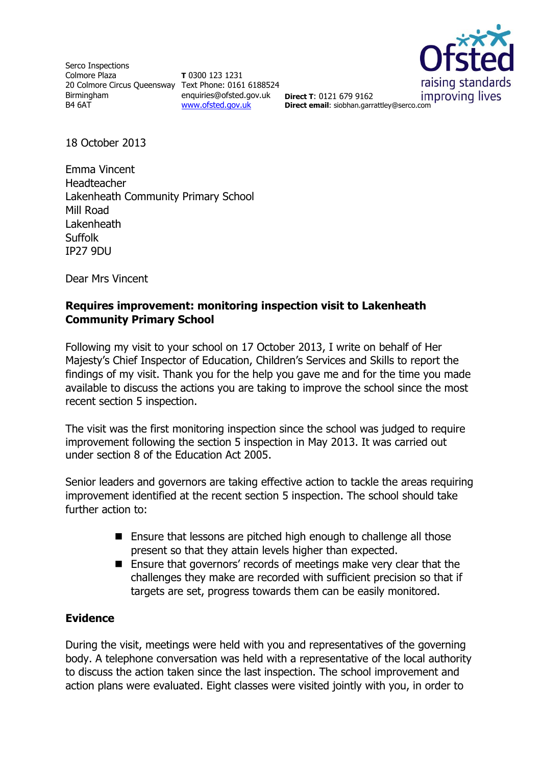Serco Inspections Colmore Plaza 20 Colmore Circus Queensway Text Phone: 0161 6188524 Birmingham B4 6AT

**T** 0300 123 1231 enquiries@ofsted.gov.uk **Direct T**: 0121 679 9162 [www.ofsted.gov.uk](http://www.ofsted.gov.uk/)



**Direct email**: siobhan.garrattley@serco.com

18 October 2013

Emma Vincent Headteacher Lakenheath Community Primary School Mill Road **Lakenheath** Suffolk IP27 9DU

Dear Mrs Vincent

## **Requires improvement: monitoring inspection visit to Lakenheath Community Primary School**

Following my visit to your school on 17 October 2013, I write on behalf of Her Majesty's Chief Inspector of Education, Children's Services and Skills to report the findings of my visit. Thank you for the help you gave me and for the time you made available to discuss the actions you are taking to improve the school since the most recent section 5 inspection.

The visit was the first monitoring inspection since the school was judged to require improvement following the section 5 inspection in May 2013. It was carried out under section 8 of the Education Act 2005.

Senior leaders and governors are taking effective action to tackle the areas requiring improvement identified at the recent section 5 inspection. The school should take further action to:

- Ensure that lessons are pitched high enough to challenge all those present so that they attain levels higher than expected.
- Ensure that governors' records of meetings make very clear that the challenges they make are recorded with sufficient precision so that if targets are set, progress towards them can be easily monitored.

## **Evidence**

During the visit, meetings were held with you and representatives of the governing body. A telephone conversation was held with a representative of the local authority to discuss the action taken since the last inspection. The school improvement and action plans were evaluated. Eight classes were visited jointly with you, in order to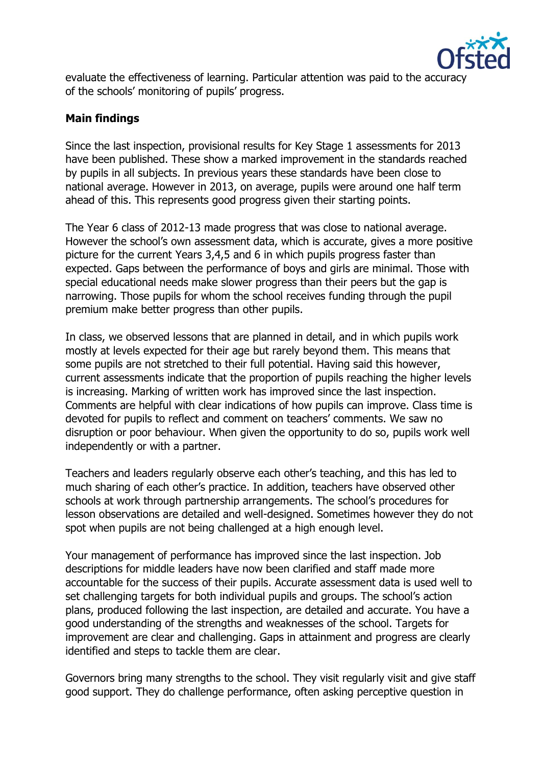

evaluate the effectiveness of learning. Particular attention was paid to the accuracy of the schools' monitoring of pupils' progress.

## **Main findings**

Since the last inspection, provisional results for Key Stage 1 assessments for 2013 have been published. These show a marked improvement in the standards reached by pupils in all subjects. In previous years these standards have been close to national average. However in 2013, on average, pupils were around one half term ahead of this. This represents good progress given their starting points.

The Year 6 class of 2012-13 made progress that was close to national average. However the school's own assessment data, which is accurate, gives a more positive picture for the current Years 3,4,5 and 6 in which pupils progress faster than expected. Gaps between the performance of boys and girls are minimal. Those with special educational needs make slower progress than their peers but the gap is narrowing. Those pupils for whom the school receives funding through the pupil premium make better progress than other pupils.

In class, we observed lessons that are planned in detail, and in which pupils work mostly at levels expected for their age but rarely beyond them. This means that some pupils are not stretched to their full potential. Having said this however, current assessments indicate that the proportion of pupils reaching the higher levels is increasing. Marking of written work has improved since the last inspection. Comments are helpful with clear indications of how pupils can improve. Class time is devoted for pupils to reflect and comment on teachers' comments. We saw no disruption or poor behaviour. When given the opportunity to do so, pupils work well independently or with a partner.

Teachers and leaders regularly observe each other's teaching, and this has led to much sharing of each other's practice. In addition, teachers have observed other schools at work through partnership arrangements. The school's procedures for lesson observations are detailed and well-designed. Sometimes however they do not spot when pupils are not being challenged at a high enough level.

Your management of performance has improved since the last inspection. Job descriptions for middle leaders have now been clarified and staff made more accountable for the success of their pupils. Accurate assessment data is used well to set challenging targets for both individual pupils and groups. The school's action plans, produced following the last inspection, are detailed and accurate. You have a good understanding of the strengths and weaknesses of the school. Targets for improvement are clear and challenging. Gaps in attainment and progress are clearly identified and steps to tackle them are clear.

Governors bring many strengths to the school. They visit regularly visit and give staff good support. They do challenge performance, often asking perceptive question in